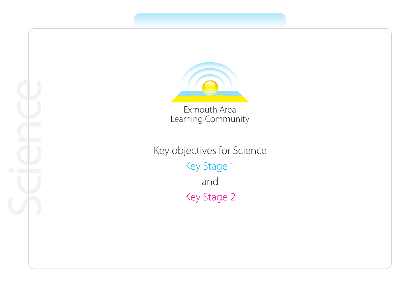

Learning Community

Key objectives for Science Key Stage 1 and Key Stage 2

Science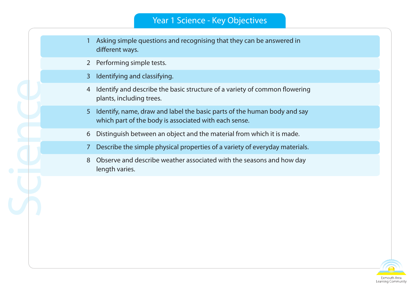# Year 1 Science - Key Objectives

- 1 Asking simple questions and recognising that they can be answered in different ways.
- 2 Performing simple tests.

Science<br>Science

- 3 Identifying and classifying.
- 4 Identify and describe the basic structure of a variety of common flowering plants, including trees.
- 5 Identify, name, draw and label the basic parts of the human body and say which part of the body is associated with each sense.
- 6 Distinguish between an object and the material from which it is made.
- 7 Describe the simple physical properties of a variety of everyday materials.
- 8 Observe and describe weather associated with the seasons and how day length varies.

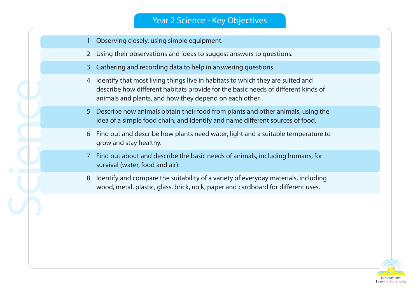## Year 2 Science - Key Objectives

1 Observing closely, using simple equipment.

Science<br>Science

- 2 Using their observations and ideas to suggest answers to questions.
- 3 Gathering and recording data to help in answering questions.
- 4 Identify that most living things live in habitats to which they are suited and describe how different habitats provide for the basic needs of different kinds of animals and plants, and how they depend on each other.
- 5 Describe how animals obtain their food from plants and other animals, using the idea of a simple food chain, and identify and name different sources of food.
- 6 Find out and describe how plants need water, light and a suitable temperature to grow and stay healthy.
- 7 Find out about and describe the basic needs of animals, including humans, for survival (water, food and air).
- 8 Identify and compare the suitability of a variety of everyday materials, including wood, metal, plastic, glass, brick, rock, paper and cardboard for different uses.

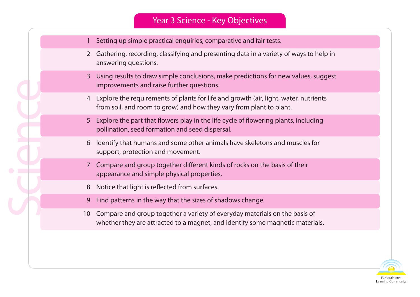### Year 3 Science - Key Objectives

- 1 Setting up simple practical enquiries, comparative and fair tests.
- 2 Gathering, recording, classifying and presenting data in a variety of ways to help in answering questions.
- 3 Using results to draw simple conclusions, make predictions for new values, suggest improvements and raise further questions.
- 4 Explore the requirements of plants for life and growth (air, light, water, nutrients from soil, and room to grow) and how they vary from plant to plant.
- 5 Explore the part that flowers play in the life cycle of flowering plants, including pollination, seed formation and seed dispersal.
- 6 Identify that humans and some other animals have skeletons and muscles for support, protection and movement.
- 7 Compare and group together different kinds of rocks on the basis of their appearance and simple physical properties.
- 8 Notice that light is reflected from surfaces.

Science

- 9 Find patterns in the way that the sizes of shadows change.
- 10 Compare and group together a variety of everyday materials on the basis of whether they are attracted to a magnet, and identify some magnetic materials.

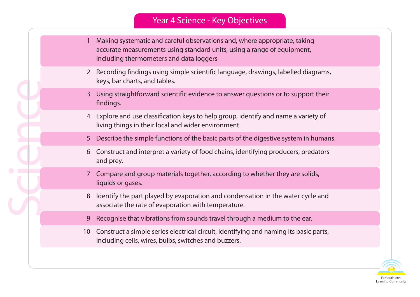- 1 Making systematic and careful observations and, where appropriate, taking accurate measurements using standard units, using a range of equipment, including thermometers and data loggers
- 2 Recording findings using simple scientific language, drawings, labelled diagrams, keys, bar charts, and tables.
- 3 Using straightforward scientific evidence to answer questions or to support their findings.
- 4 Explore and use classification keys to help group, identify and name a variety of living things in their local and wider environment.
- 5 Describe the simple functions of the basic parts of the digestive system in humans.
- 6 Construct and interpret a variety of food chains, identifying producers, predators and prey.
- 7 Compare and group materials together, according to whether they are solids, liquids or gases.

Science</u>

- 8 Identify the part played by evaporation and condensation in the water cycle and associate the rate of evaporation with temperature.
- 9 Recognise that vibrations from sounds travel through a medium to the ear.
- 10 Construct a simple series electrical circuit, identifying and naming its basic parts, including cells, wires, bulbs, switches and buzzers.

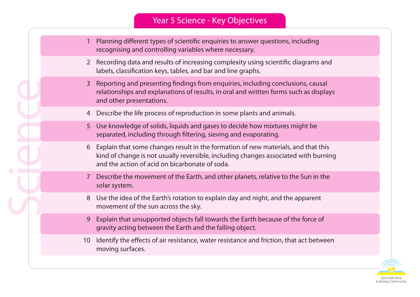## Year 5 Science - Key Objectives

- 1 Planning different types of scientific enquiries to answer questions, including recognising and controlling variables where necessary.
- 2 Recording data and results of increasing complexity using scientific diagrams and labels, classification keys, tables, and bar and line graphs.
- 3 Reporting and presenting findings from enquiries, including conclusions, causal relationships and explanations of results, in oral and written forms such as displays and other presentations.
- 4 Describe the life process of reproduction in some plants and animals.

Science</u>

- 5 Use knowledge of solids, liquids and gases to decide how mixtures might be separated, including through filtering, sieving and evaporating.
- 6 Explain that some changes result in the formation of new materials, and that this kind of change is not usually reversible, including changes associated with burning and the action of acid on bicarbonate of soda.
- 7 Describe the movement of the Earth, and other planets, relative to the Sun in the solar system.
- 8 Use the idea of the Earth's rotation to explain day and night, and the apparent movement of the sun across the sky.
- 9 Explain that unsupported objects fall towards the Earth because of the force of gravity acting between the Earth and the falling object.
- 10 Identify the effects of air resistance, water resistance and friction, that act between moving surfaces.